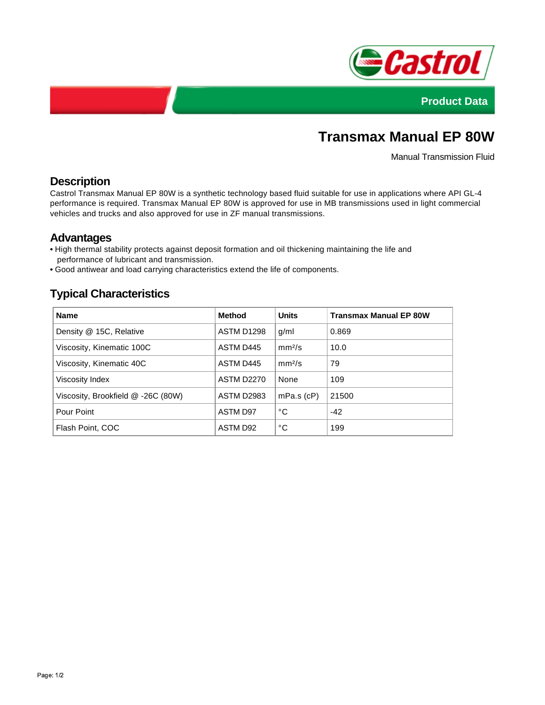



# **Transmax Manual EP 80W**

Manual Transmission Fluid

## **Description**

Castrol Transmax Manual EP 80W is a synthetic technology based fluid suitable for use in applications where API GL-4 performance is required. Transmax Manual EP 80W is approved for use in MB transmissions used in light commercial vehicles and trucks and also approved for use in ZF manual transmissions.

### **Advantages**

- **•** High thermal stability protects against deposit formation and oil thickening maintaining the life and performance of lubricant and transmission.
- **•** Good antiwear and load carrying characteristics extend the life of components.

# **Typical Characteristics**

| <b>Name</b>                        | Method            | <b>Units</b>       | <b>Transmax Manual EP 80W</b> |
|------------------------------------|-------------------|--------------------|-------------------------------|
| Density @ 15C, Relative            | ASTM D1298        | g/ml               | 0.869                         |
| Viscosity, Kinematic 100C          | ASTM D445         | mm <sup>2</sup> /s | 10.0                          |
| Viscosity, Kinematic 40C           | ASTM D445         | mm <sup>2</sup> /s | 79                            |
| Viscosity Index                    | <b>ASTM D2270</b> | None               | 109                           |
| Viscosity, Brookfield @ -26C (80W) | <b>ASTM D2983</b> | $mPa.s$ ( $cP$ )   | 21500                         |
| Pour Point                         | ASTM D97          | °C                 | $-42$                         |
| Flash Point, COC                   | ASTM D92          | °C                 | 199                           |